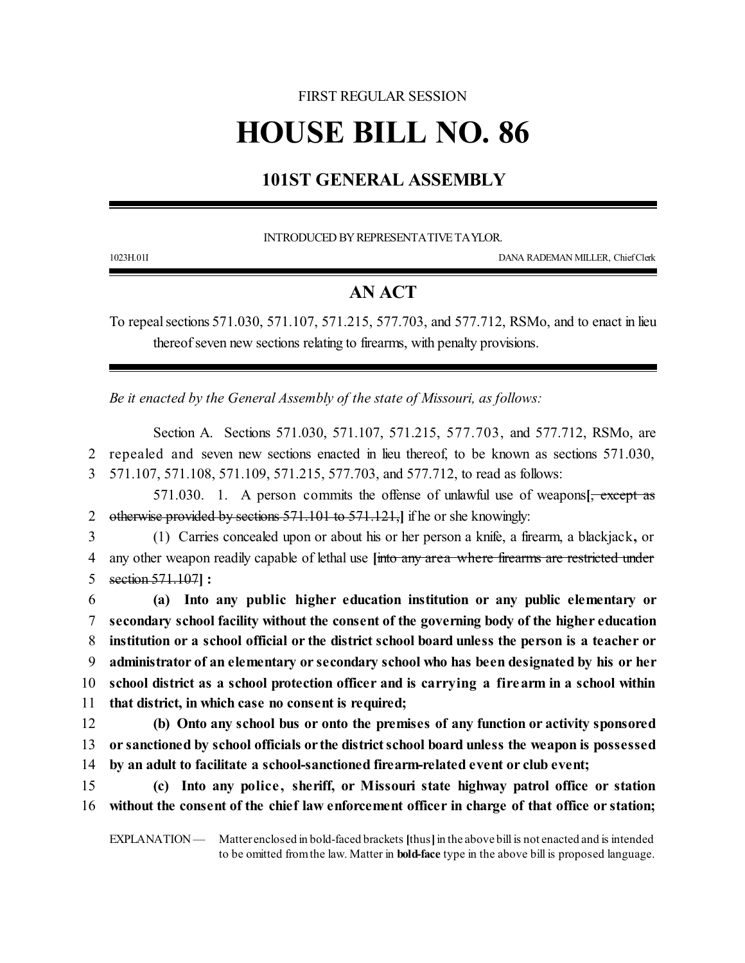## FIRST REGULAR SESSION

# **HOUSE BILL NO. 86**

## **101ST GENERAL ASSEMBLY**

INTRODUCED BYREPRESENTATIVETAYLOR.

1023H.01I DANA RADEMAN MILLER, ChiefClerk

### **AN ACT**

To repeal sections 571.030, 571.107, 571.215, 577.703, and 577.712, RSMo, and to enact in lieu thereof seven new sections relating to firearms, with penalty provisions.

*Be it enacted by the General Assembly of the state of Missouri, as follows:*

Section A. Sections 571.030, 571.107, 571.215, 577.703, and 577.712, RSMo, are 2 repealed and seven new sections enacted in lieu thereof, to be known as sections 571.030, 3 571.107, 571.108, 571.109, 571.215, 577.703, and 577.712, to read as follows:

571.030. 1. A person commits the offense of unlawful use of weapons**[**, except as 2 otherwise provided by sections 571.101 to 571.121,**]** if he or she knowingly:

3 (1) Carries concealed upon or about his or her person a knife, a firearm, a blackjack**,** or 4 any other weapon readily capable of lethal use **[**into any area where firearms are restricted under 5 section 571.107**] :**

 **(a) Into any public higher education institution or any public elementary or secondary school facility without the consent of the governing body of the higher education institution or a school official or the district school board unless the person is a teacher or administrator of an elementary or secondary school who has been designated by his or her school district as a school protection officer and is carrying a firearm in a school within that district, in which case no consent is required;**

12 **(b) Onto any school bus or onto the premises of any function or activity sponsored** 13 **or sanctioned by school officials or the districtschool board unless the weapon is possessed** 14 **by an adult to facilitate a school-sanctioned firearm-related event or club event;**

15 **(c) Into any police , sheriff, or Missouri state highway patrol office or station** 16 **without the consent of the chief law enforcement officer in charge of that office or station;**

EXPLANATION — Matter enclosed in bold-faced brackets [thus] in the above bill is not enacted and is intended to be omitted fromthe law. Matter in **bold-face** type in the above bill is proposed language.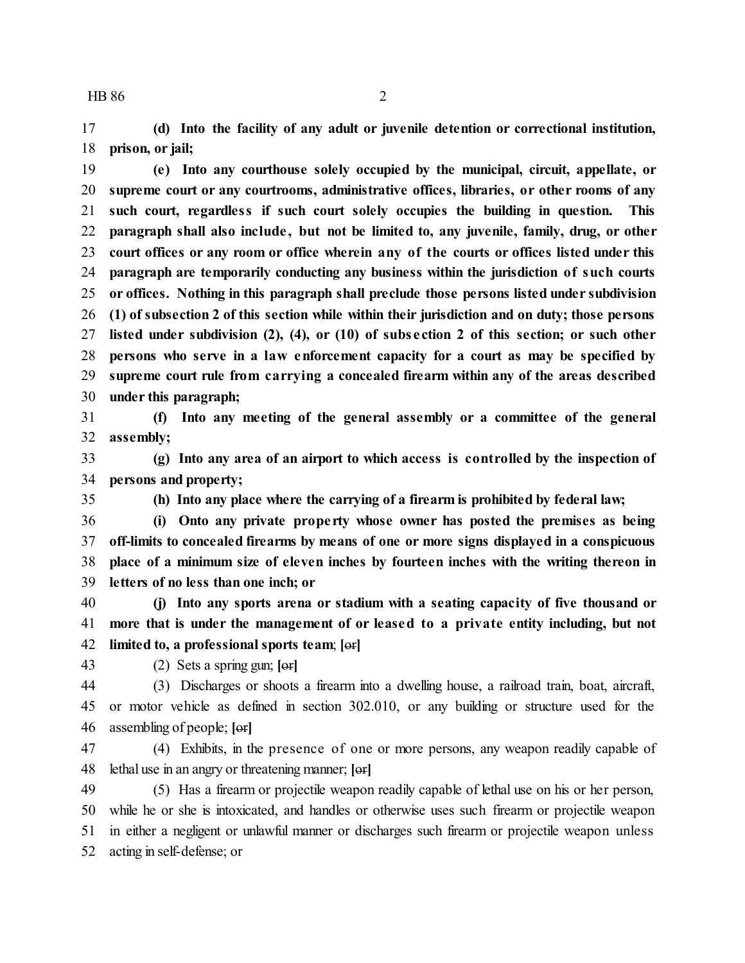**(d) Into the facility of any adult or juvenile detention or correctional institution, prison, or jail;**

 **(e) Into any courthouse solely occupied by the municipal, circuit, appellate, or supreme court or any courtrooms, administrative offices, libraries, or other rooms of any such court, regardless if such court solely occupies the building in question. This paragraph shall also include , but not be limited to, any juvenile, family, drug, or other court offices or any room or office wherein any of the courts or offices listed under this paragraph are temporarily conducting any business within the jurisdiction of such courts or offices. Nothing in this paragraph shall preclude those persons listed under subdivision (1) of subsection 2 of this section while within their jurisdiction and on duty; those persons listed under subdivision (2), (4), or (10) of subs e ction 2 of this section; or such other persons who serve in a law enforcement capacity for a court as may be specified by supreme court rule from carrying a concealed firearm within any of the areas described under this paragraph;**

 **(f) Into any meeting of the general assembly or a committee of the general assembly;**

 **(g) Into any area of an airport to which access is controlled by the inspection of persons and property;**

**(h) Into any place where the carrying of a firearm is prohibited by federal law;**

 **(i) Onto any private prope rty whose owner has posted the premises as being off-limits to concealed firearms by means of one or more signs displayed in a conspicuous place of a minimum size of eleven inches by fourteen inches with the writing thereon in letters of no less than one inch; or**

 **(j) Into any sports arena or stadium with a seating capacity of five thousand or more that is under the management of or leased to a private entity including, but not limited to, a professional sports team**; **[**or**]**

(2) Sets a spring gun; **[**or**]**

 (3) Discharges or shoots a firearm into a dwelling house, a railroad train, boat, aircraft, or motor vehicle as defined in section 302.010, or any building or structure used for the assembling of people; **[**or**]**

 (4) Exhibits, in the presence of one or more persons, any weapon readily capable of lethal use in an angry or threatening manner; **[**or**]**

 (5) Has a firearm or projectile weapon readily capable of lethal use on his or her person, while he or she is intoxicated, and handles or otherwise uses such firearm or projectile weapon in either a negligent or unlawful manner or discharges such firearm or projectile weapon unless acting in self-defense; or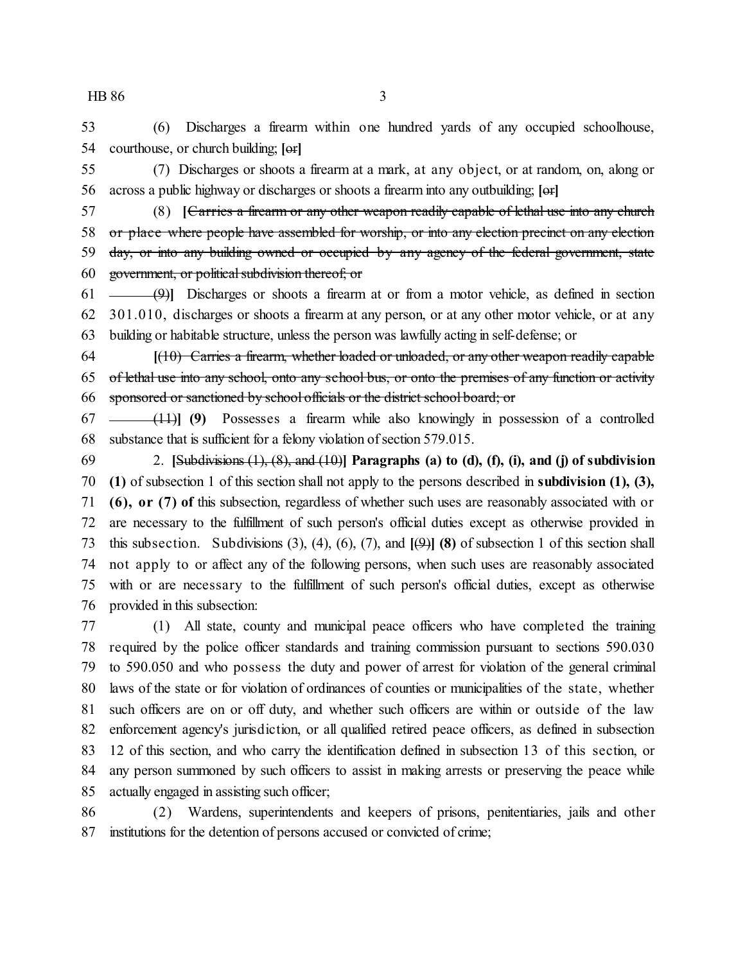(6) Discharges a firearm within one hundred yards of any occupied schoolhouse, courthouse, or church building; **[**or**]**

 (7) Discharges or shoots a firearm at a mark, at any object, or at random, on, along or across a public highway or discharges or shoots a firearm into any outbuilding; **[**or**]**

 (8) **[**Carries a firearm or any other weapon readily capable of lethal use into any church 58 or place where people have assembled for worship, or into any election precinct on any election 59 day, or into any building owned or occupied by any agency of the federal government, state government, or politicalsubdivision thereof; or

 (9)**]** Discharges or shoots a firearm at or from a motor vehicle, as defined in section 301.010, discharges or shoots a firearm at any person, or at any other motor vehicle, or at any building or habitable structure, unless the person was lawfully acting in self-defense; or

 **[**(10) Carries a firearm, whether loaded or unloaded, or any other weapon readily capable of lethal use into any school, onto any school bus, or onto the premises of any function or activity sponsored or sanctioned by school officials or the district school board; or

 (11)**] (9)** Possesses a firearm while also knowingly in possession of a controlled 68 substance that is sufficient for a felony violation of section 579.015.

 2. **[**Subdivisions (1), (8), and (10)**] Paragraphs (a) to (d), (f), (i), and (j) of subdivision (1)** of subsection 1 of this section shall not apply to the persons described in **subdivision (1), (3), (6), or (7) of** this subsection, regardless of whether such uses are reasonably associated with or are necessary to the fulfillment of such person's official duties except as otherwise provided in this subsection. Subdivisions (3), (4), (6), (7), and **[**(9)**] (8)** of subsection 1 of this section shall not apply to or affect any of the following persons, when such uses are reasonably associated with or are necessary to the fulfillment of such person's official duties, except as otherwise provided in this subsection:

 (1) All state, county and municipal peace officers who have completed the training required by the police officer standards and training commission pursuant to sections 590.030 to 590.050 and who possess the duty and power of arrest for violation of the general criminal laws of the state or for violation of ordinances of counties or municipalities of the state, whether such officers are on or off duty, and whether such officers are within or outside of the law enforcement agency's jurisdiction, or all qualified retired peace officers, as defined in subsection 12 of this section, and who carry the identification defined in subsection 13 of this section, or any person summoned by such officers to assist in making arrests or preserving the peace while actually engaged in assisting such officer;

 (2) Wardens, superintendents and keepers of prisons, penitentiaries, jails and other institutions for the detention of persons accused or convicted of crime;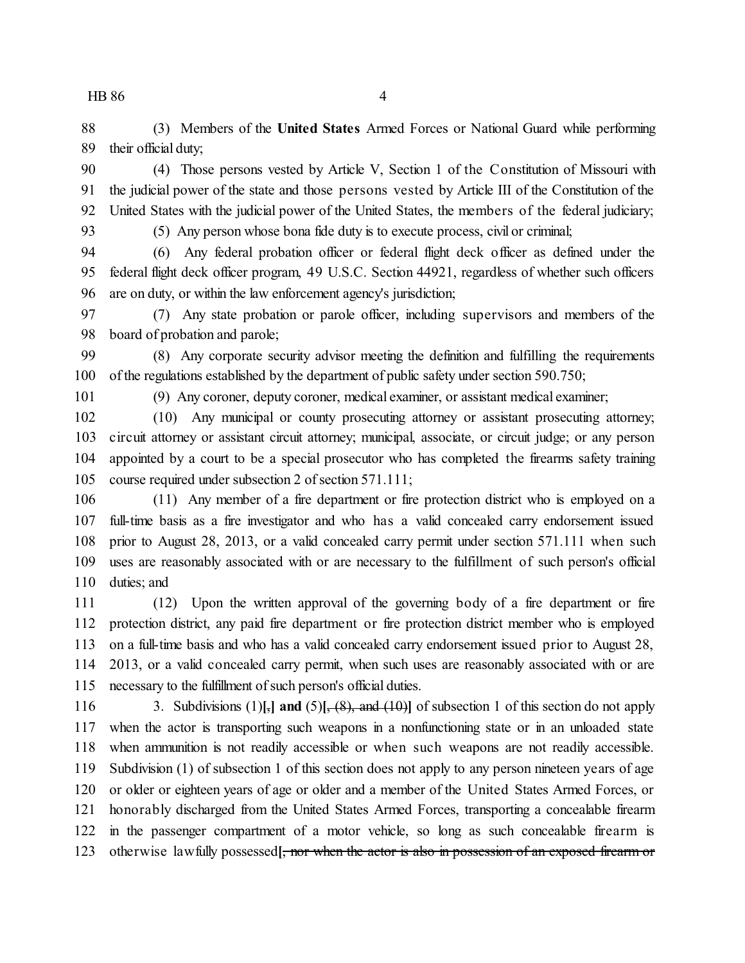(3) Members of the **United States** Armed Forces or National Guard while performing their official duty;

 (4) Those persons vested by Article V, Section 1 of the Constitution of Missouri with the judicial power of the state and those persons vested by Article III of the Constitution of the United States with the judicial power of the United States, the members of the federal judiciary;

(5) Any person whose bona fide duty is to execute process, civil or criminal;

 (6) Any federal probation officer or federal flight deck officer as defined under the federal flight deck officer program, 49 U.S.C. Section 44921, regardless of whether such officers are on duty, or within the law enforcement agency's jurisdiction;

 (7) Any state probation or parole officer, including supervisors and members of the board of probation and parole;

 (8) Any corporate security advisor meeting the definition and fulfilling the requirements of the regulations established by the department of public safety under section 590.750;

(9) Any coroner, deputy coroner, medical examiner, or assistant medical examiner;

 (10) Any municipal or county prosecuting attorney or assistant prosecuting attorney; circuit attorney or assistant circuit attorney; municipal, associate, or circuit judge; or any person appointed by a court to be a special prosecutor who has completed the firearms safety training course required under subsection 2 of section 571.111;

 (11) Any member of a fire department or fire protection district who is employed on a full-time basis as a fire investigator and who has a valid concealed carry endorsement issued prior to August 28, 2013, or a valid concealed carry permit under section 571.111 when such uses are reasonably associated with or are necessary to the fulfillment of such person's official duties; and

 (12) Upon the written approval of the governing body of a fire department or fire protection district, any paid fire department or fire protection district member who is employed on a full-time basis and who has a valid concealed carry endorsement issued prior to August 28, 2013, or a valid concealed carry permit, when such uses are reasonably associated with or are necessary to the fulfillment of such person's official duties.

 3. Subdivisions (1)**[**,**] and** (5)**[**, (8), and (10)**]** of subsection 1 of this section do not apply when the actor is transporting such weapons in a nonfunctioning state or in an unloaded state when ammunition is not readily accessible or when such weapons are not readily accessible. Subdivision (1) of subsection 1 of this section does not apply to any person nineteen years of age or older or eighteen years of age or older and a member of the United States Armed Forces, or honorably discharged from the United States Armed Forces, transporting a concealable firearm in the passenger compartment of a motor vehicle, so long as such concealable firearm is otherwise lawfully possessed**[**, nor when the actor is also in possession of an exposed firearm or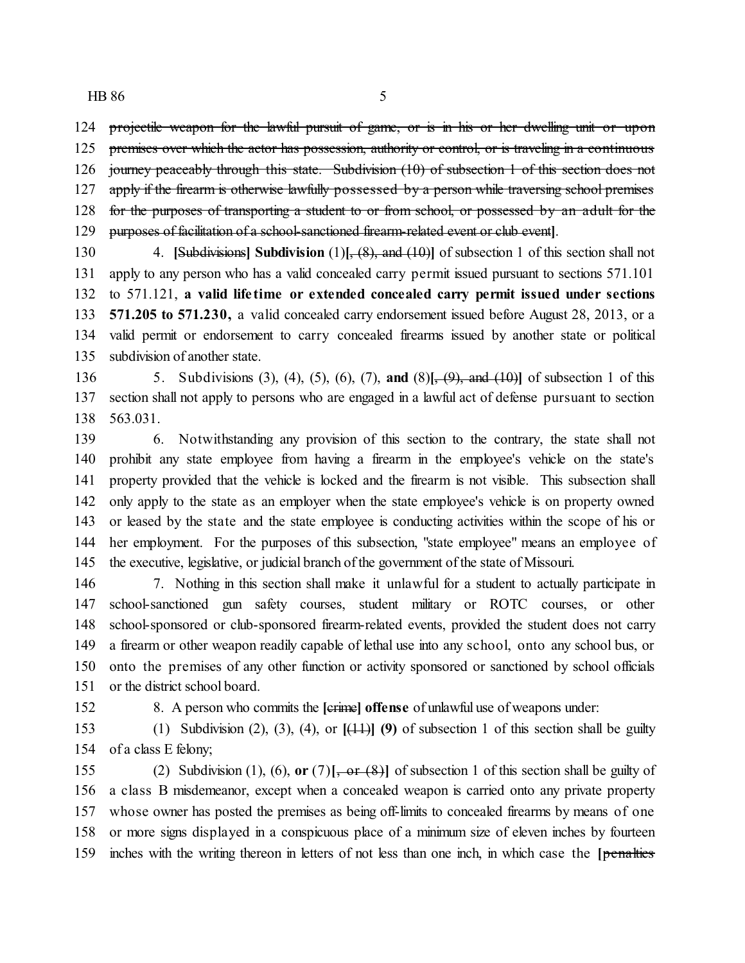124 projectile weapon for the lawful pursuit of game, or is in his or her dwelling unit or upon 125 premises over which the actor has possession, authority or control, or is traveling in a continuous

journey peaceably through this state. Subdivision (10) of subsection 1 of this section does not

127 apply if the firearm is otherwise lawfully possessed by a person while traversing school premises

- 128 for the purposes of transporting a student to or from school, or possessed by an adult for the
- purposes of facilitation of a school-sanctioned firearm-related event or club event**]**.

 4. **[**Subdivisions**] Subdivision** (1)**[**, (8), and (10)**]** of subsection 1 of this section shall not apply to any person who has a valid concealed carry permit issued pursuant to sections 571.101 to 571.121, **a valid life time or extended concealed carry permit issued under sections 571.205 to 571.230,** a valid concealed carry endorsement issued before August 28, 2013, or a valid permit or endorsement to carry concealed firearms issued by another state or political subdivision of another state.

 5. Subdivisions (3), (4), (5), (6), (7), **and** (8)**[**, (9), and (10)**]** of subsection 1 of this section shall not apply to persons who are engaged in a lawful act of defense pursuant to section 563.031.

 6. Notwithstanding any provision of this section to the contrary, the state shall not prohibit any state employee from having a firearm in the employee's vehicle on the state's property provided that the vehicle is locked and the firearm is not visible. This subsection shall only apply to the state as an employer when the state employee's vehicle is on property owned or leased by the state and the state employee is conducting activities within the scope of his or her employment. For the purposes of this subsection, "state employee" means an employee of the executive, legislative, or judicial branch of the government of the state of Missouri.

 7. Nothing in this section shall make it unlawful for a student to actually participate in school-sanctioned gun safety courses, student military or ROTC courses, or other school-sponsored or club-sponsored firearm-related events, provided the student does not carry a firearm or other weapon readily capable of lethal use into any school, onto any school bus, or onto the premises of any other function or activity sponsored or sanctioned by school officials or the district school board.

8. A person who commits the **[**crime**] offense** of unlawful use of weapons under:

 (1) Subdivision (2), (3), (4), or **[**(11)**] (9)** of subsection 1 of this section shall be guilty of a class E felony;

 (2) Subdivision (1), (6), **or** (7)**[**, or (8)**]** of subsection 1 of this section shall be guilty of a class B misdemeanor, except when a concealed weapon is carried onto any private property whose owner has posted the premises as being off-limits to concealed firearms by means of one or more signs displayed in a conspicuous place of a minimum size of eleven inches by fourteen inches with the writing thereon in letters of not less than one inch, in which case the **[**penalties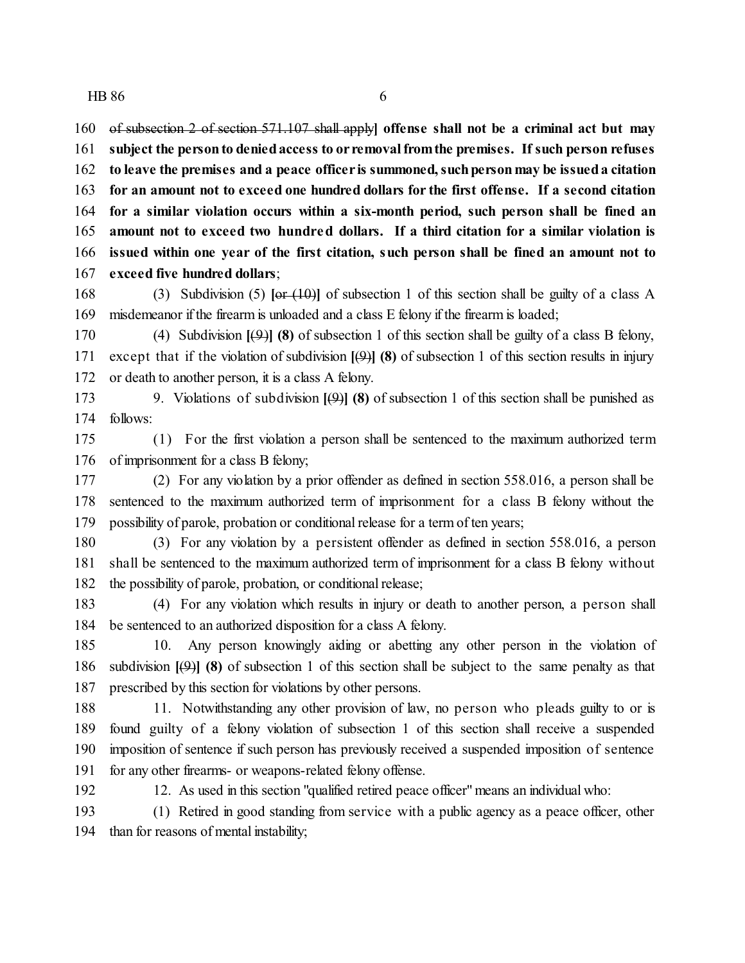of subsection 2 of section 571.107 shall apply**] offense shall not be a criminal act but may subject the personto deniedaccess to or removalfromthe premises. If such person refuses to leave the premises and a peace officer is summoned, suchpersonmay be issueda citation for an amount not to exceed one hundred dollars for the first offense. If a second citation for a similar violation occurs within a six-month period, such person shall be fined an amount not to exceed two hundred dollars. If a third citation for a similar violation is issued within one year of the first citation, such person shall be fined an amount not to exceed five hundred dollars**;

 (3) Subdivision (5) **[**or (10)**]** of subsection 1 of this section shall be guilty of a class A misdemeanor if the firearmis unloaded and a class E felony if the firearm is loaded;

 (4) Subdivision **[**(9)**] (8)** of subsection 1 of this section shall be guilty of a class B felony, except that if the violation of subdivision **[**(9)**] (8)** of subsection 1 of this section results in injury or death to another person, it is a class A felony.

 9. Violations of subdivision **[**(9)**] (8)** of subsection 1 of this section shall be punished as follows:

 (1) For the first violation a person shall be sentenced to the maximum authorized term of imprisonment for a class B felony;

 (2) For any violation by a prior offender as defined in section 558.016, a person shall be sentenced to the maximum authorized term of imprisonment for a class B felony without the possibility of parole, probation or conditional release for a termof ten years;

 (3) For any violation by a persistent offender as defined in section 558.016, a person shall be sentenced to the maximum authorized term of imprisonment for a class B felony without the possibility of parole, probation, or conditional release;

 (4) For any violation which results in injury or death to another person, a person shall be sentenced to an authorized disposition for a class A felony.

 10. Any person knowingly aiding or abetting any other person in the violation of subdivision **[**(9)**] (8)** of subsection 1 of this section shall be subject to the same penalty as that prescribed by this section for violations by other persons.

188 11. Notwithstanding any other provision of law, no person who pleads guilty to or is found guilty of a felony violation of subsection 1 of this section shall receive a suspended imposition of sentence if such person has previously received a suspended imposition of sentence for any other firearms- or weapons-related felony offense.

12. As used in this section "qualified retired peace officer" means an individual who:

 (1) Retired in good standing from service with a public agency as a peace officer, other than for reasons of mental instability;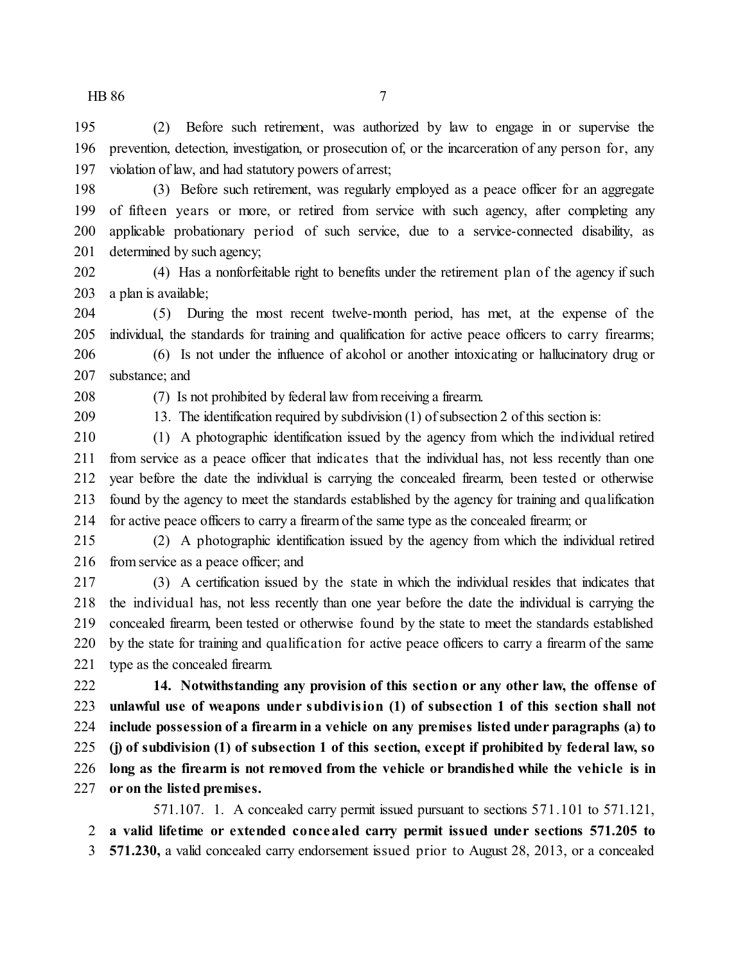(2) Before such retirement, was authorized by law to engage in or supervise the prevention, detection, investigation, or prosecution of, or the incarceration of any person for, any violation of law, and had statutory powers of arrest;

 (3) Before such retirement, was regularly employed as a peace officer for an aggregate of fifteen years or more, or retired from service with such agency, after completing any applicable probationary period of such service, due to a service-connected disability, as determined by such agency;

 (4) Has a nonforfeitable right to benefits under the retirement plan of the agency if such a plan is available;

 (5) During the most recent twelve-month period, has met, at the expense of the individual, the standards for training and qualification for active peace officers to carry firearms;

 (6) Is not under the influence of alcohol or another intoxicating or hallucinatory drug or substance; and

(7) Is not prohibited by federal law from receiving a firearm.

13. The identification required by subdivision (1) of subsection 2 of this section is:

 (1) A photographic identification issued by the agency from which the individual retired from service as a peace officer that indicates that the individual has, not less recently than one year before the date the individual is carrying the concealed firearm, been tested or otherwise found by the agency to meet the standards established by the agency for training and qualification for active peace officers to carry a firearmof the same type as the concealed firearm; or

 (2) A photographic identification issued by the agency from which the individual retired from service as a peace officer; and

 (3) A certification issued by the state in which the individual resides that indicates that the individual has, not less recently than one year before the date the individual is carrying the concealed firearm, been tested or otherwise found by the state to meet the standards established by the state for training and qualification for active peace officers to carry a firearm of the same type as the concealed firearm.

 **14. Notwithstanding any provision of this section or any other law, the offense of unlawful use of weapons under subdivision (1) of subsection 1 of this section shall not include possession of a firearm in a vehicle on any premises listed under paragraphs (a) to (j) of subdivision (1) of subsection 1 of this section, except if prohibited by federal law, so long as the firearm is not removed from the vehicle or brandished while the vehicle is in or on the listed premises.**

571.107. 1. A concealed carry permit issued pursuant to sections 571.101 to 571.121,

**a valid lifetime or extended concealed carry permit issued under sections 571.205 to**

**571.230,** a valid concealed carry endorsement issued prior to August 28, 2013, or a concealed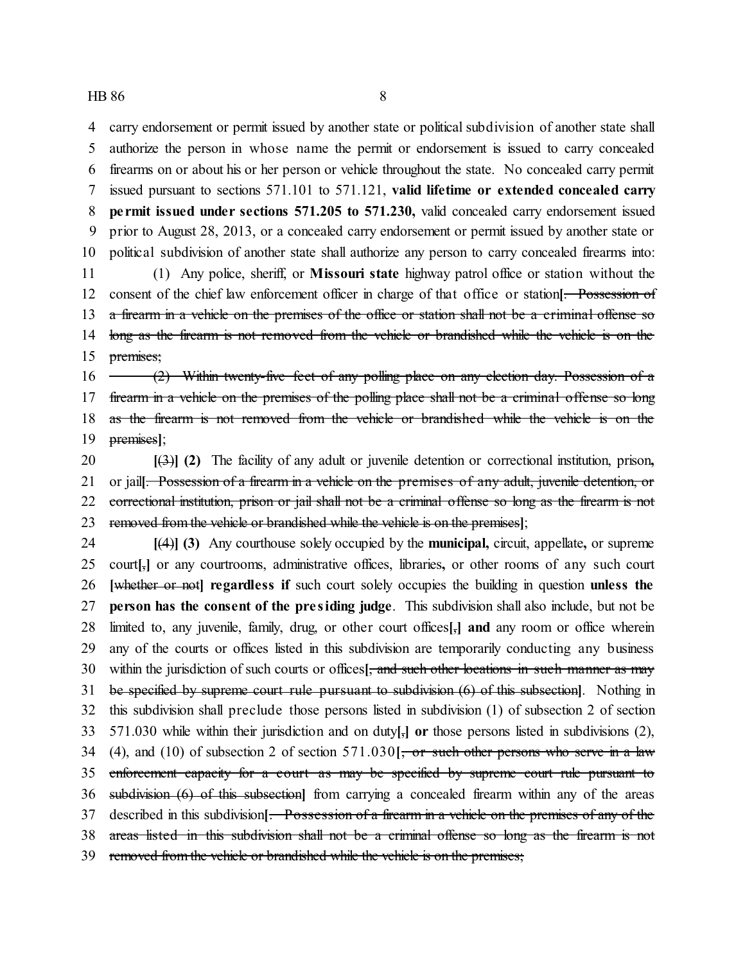carry endorsement or permit issued by another state or political subdivision of another state shall authorize the person in whose name the permit or endorsement is issued to carry concealed firearms on or about his or her person or vehicle throughout the state. No concealed carry permit issued pursuant to sections 571.101 to 571.121, **valid lifetime or extended concealed carry pe rmit issued under sections 571.205 to 571.230,** valid concealed carry endorsement issued prior to August 28, 2013, or a concealed carry endorsement or permit issued by another state or political subdivision of another state shall authorize any person to carry concealed firearms into:

 (1) Any police, sheriff, or **Missouri state** highway patrol office or station without the consent of the chief law enforcement officer in charge of that office or station**[**. Possession of 13 a firearm in a vehicle on the premises of the office or station shall not be a criminal offense so 14 long as the firearm is not removed from the vehicle or brandished while the vehicle is on the 15 premises;

16 (2) Within twenty-five feet of any polling place on any election day. Possession of a 17 firearm in a vehicle on the premises of the polling place shall not be a criminal offense so long as the firearm is not removed from the vehicle or brandished while the vehicle is on the premises**]**;

 **[**(3)**] (2)** The facility of any adult or juvenile detention or correctional institution, prison**,** or jail**[**. Possession of a firearm in a vehicle on the premises of any adult, juvenile detention, or 22 correctional institution, prison or jail shall not be a criminal offense so long as the firearm is not removed from the vehicle or brandished while the vehicle is on the premises**]**;

 **[**(4)**] (3)** Any courthouse solely occupied by the **municipal,** circuit, appellate**,** or supreme court**[**,**]** or any courtrooms, administrative offices, libraries**,** or other rooms of any such court **[**whether or not**] regardless if** such court solely occupies the building in question **unless the person has the consent of the pre siding judge**. This subdivision shall also include, but not be limited to, any juvenile, family, drug, or other court offices**[**,**] and** any room or office wherein any of the courts or offices listed in this subdivision are temporarily conducting any business within the jurisdiction of such courts or offices**[**, and such other locations in such manner as may be specified by supreme court rule pursuant to subdivision (6) of this subsection**]**. Nothing in this subdivision shall preclude those persons listed in subdivision (1) of subsection 2 of section 571.030 while within their jurisdiction and on duty**[**,**] or** those persons listed in subdivisions (2), (4), and (10) of subsection 2 of section 571.030**[**, or such other persons who serve in a law enforcement capacity for a court as may be specified by supreme court rule pursuant to subdivision (6) of this subsection**]** from carrying a concealed firearm within any of the areas described in this subdivision**[**. Possession of a firearm in a vehicle on the premises of any of the areas listed in this subdivision shall not be a criminal offense so long as the firearm is not removed from the vehicle or brandished while the vehicle is on the premises;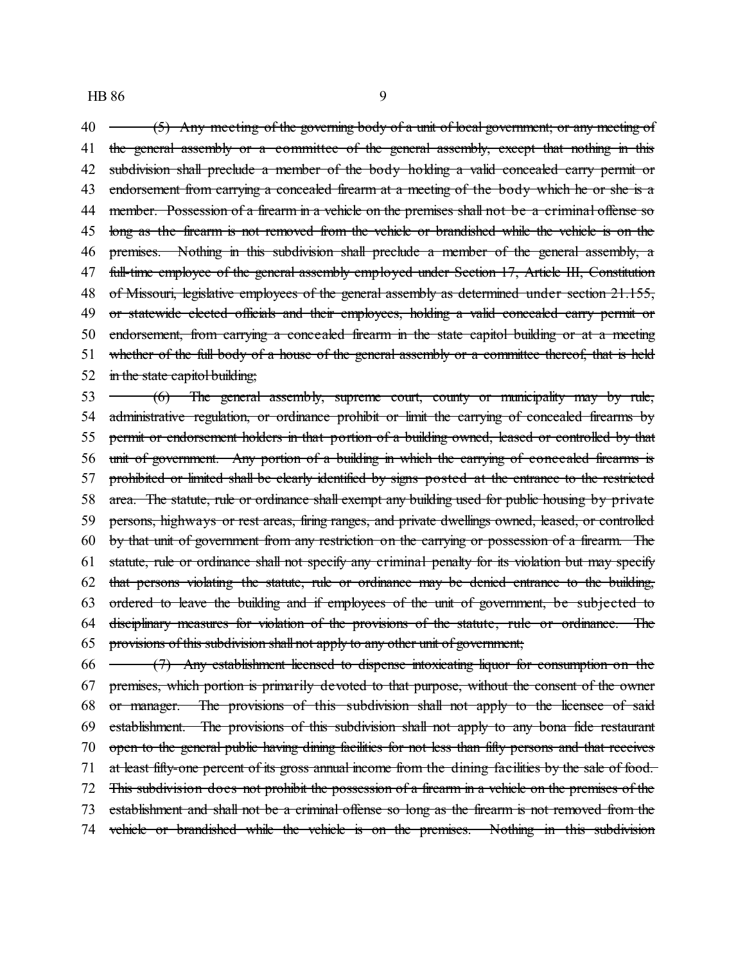$40 \leftarrow$  (5) Any meeting of the governing body of a unit of local government; or any meeting of 41 the general assembly or a committee of the general assembly, except that nothing in this 42 subdivision shall preclude a member of the body holding a valid concealed carry permit or 43 endorsement from carrying a concealed firearm at a meeting of the body which he or she is a 44 member. Possession of a firearm in a vehicle on the premises shall not be a criminal offense so long as the firearm is not removed from the vehicle or brandished while the vehicle is on the 46 premises. Nothing in this subdivision shall preclude a member of the general assembly, a 47 full-time employee of the general assembly employed under Section 17, Article III, Constitution 48 of Missouri, legislative employees of the general assembly as determined under section 21.155, 49 or statewide elected officials and their employees, holding a valid concealed carry permit or endorsement, from carrying a concealed firearm in the state capitol building or at a meeting whether of the full body of a house of the general assembly or a committee thereof, that is held in the state capitol building; 53 (6) The general assembly, supreme court, county or municipality may by rule, 54 administrative regulation, or ordinance prohibit or limit the carrying of concealed firearms by permit or endorsement holders in that portion of a building owned, leased or controlled by that unit of government. Any portion of a building in which the carrying of concealed firearms is prohibited or limited shall be clearly identified by signs posted at the entrance to the restricted area. The statute, rule or ordinance shall exempt any building used for public housing by private persons, highways or rest areas, firing ranges, and private dwellings owned, leased, or controlled by that unit of government from any restriction on the carrying or possession of a firearm. The statute, rule or ordinance shall not specify any criminal penalty for its violation but may specify that persons violating the statute, rule or ordinance may be denied entrance to the building, ordered to leave the building and if employees of the unit of government, be subjected to disciplinary measures for violation of the provisions of the statute, rule or ordinance. The

provisions of this subdivision shall not apply to any other unit of government;

 $66 \leftarrow$   $(7)$  Any establishment licensed to dispense intoxicating liquor for consumption on the premises, which portion is primarily devoted to that purpose, without the consent of the owner or manager. The provisions of this subdivision shall not apply to the licensee of said establishment. The provisions of this subdivision shall not apply to any bona fide restaurant open to the general public having dining facilities for not less than fifty persons and that receives at least fifty-one percent of its gross annual income from the dining facilities by the sale of food. This subdivision does not prohibit the possession of a firearm in a vehicle on the premises of the establishment and shall not be a criminal offense so long as the firearm is not removed from the vehicle or brandished while the vehicle is on the premises. Nothing in this subdivision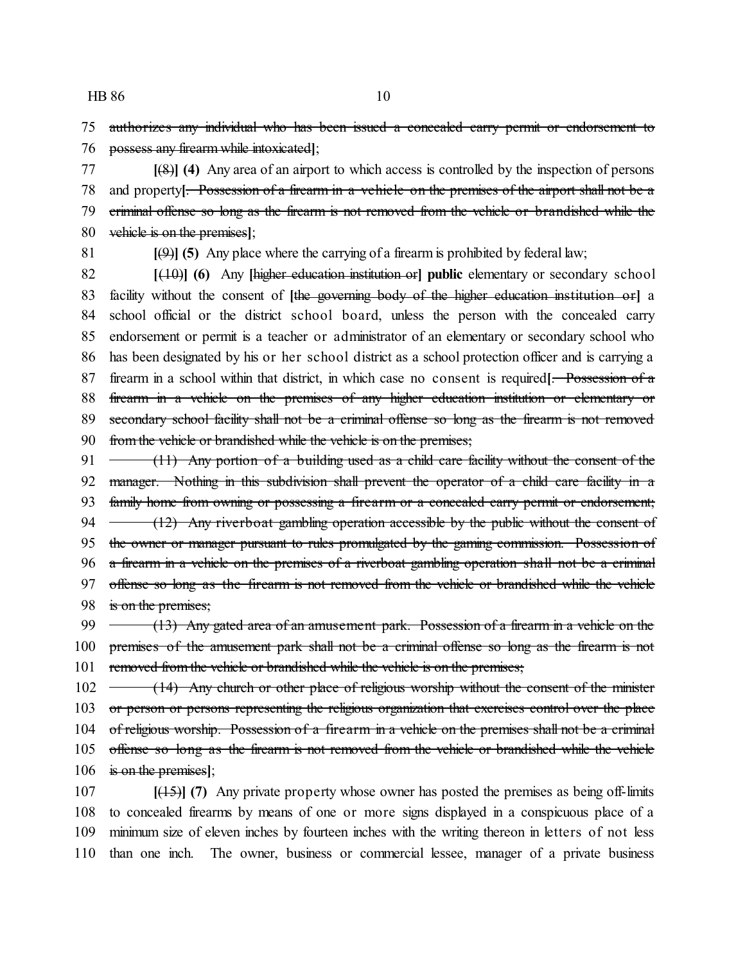75 authorizes any individual who has been issued a concealed carry permit or endorsement to 76 possess any firearm while intoxicated**]**;

 **[**(8)**] (4)** Any area of an airport to which access is controlled by the inspection of persons and property**[**. Possession of a firearm in a vehicle on the premises of the airport shall not be a criminal offense so long as the firearm is not removed from the vehicle or brandished while the vehicle is on the premises**]**;

81 **[**(9)**] (5)** Any place where the carrying of a firearm is prohibited by federal law;

 **[**(10)**] (6)** Any **[**higher education institution or**] public** elementary or secondary school facility without the consent of **[**the governing body of the higher education institution or**]** a school official or the district school board, unless the person with the concealed carry endorsement or permit is a teacher or administrator of an elementary or secondary school who has been designated by his or her school district as a school protection officer and is carrying a firearm in a school within that district, in which case no consent is required**[**. Possession of a 88 firearm in a vehicle on the premises of any higher education institution or elementary or 89 secondary school facility shall not be a criminal offense so long as the firearm is not removed 90 from the vehicle or brandished while the vehicle is on the premises;

91  $\rightarrow$  (11) Any portion of a building used as a child care facility without the consent of the 92 manager. Nothing in this subdivision shall prevent the operator of a child care facility in a 93 family home from owning or possessing a firearm or a concealed carry permit or endorsement; 94  $\rightarrow$  (12) Any riverboat gambling operation accessible by the public without the consent of 95 the owner or manager pursuant to rules promulgated by the gaming commission. Possession of 96 a firearm in a vehicle on the premises of a riverboat gambling operation shall not be a criminal 97 offense so long as the firearm is not removed from the vehicle or brandished while the vehicle 98 is on the premises;

99  $(13)$  Any gated area of an amusement park. Possession of a firearm in a vehicle on the 100 premises of the amusement park shall not be a criminal offense so long as the firearm is not 101 removed from the vehicle or brandished while the vehicle is on the premises;

102 (14) Any church or other place of religious worship without the consent of the minister 103 or person or persons representing the religious organization that exercises control over the place 104 of religious worship. Possession of a firearm in a vehicle on the premises shall not be a criminal 105 offense so long as the firearm is not removed from the vehicle or brandished while the vehicle 106 is on the premises**]**;

 **[**(15)**] (7)** Any private property whose owner has posted the premises as being off-limits to concealed firearms by means of one or more signs displayed in a conspicuous place of a minimum size of eleven inches by fourteen inches with the writing thereon in letters of not less than one inch. The owner, business or commercial lessee, manager of a private business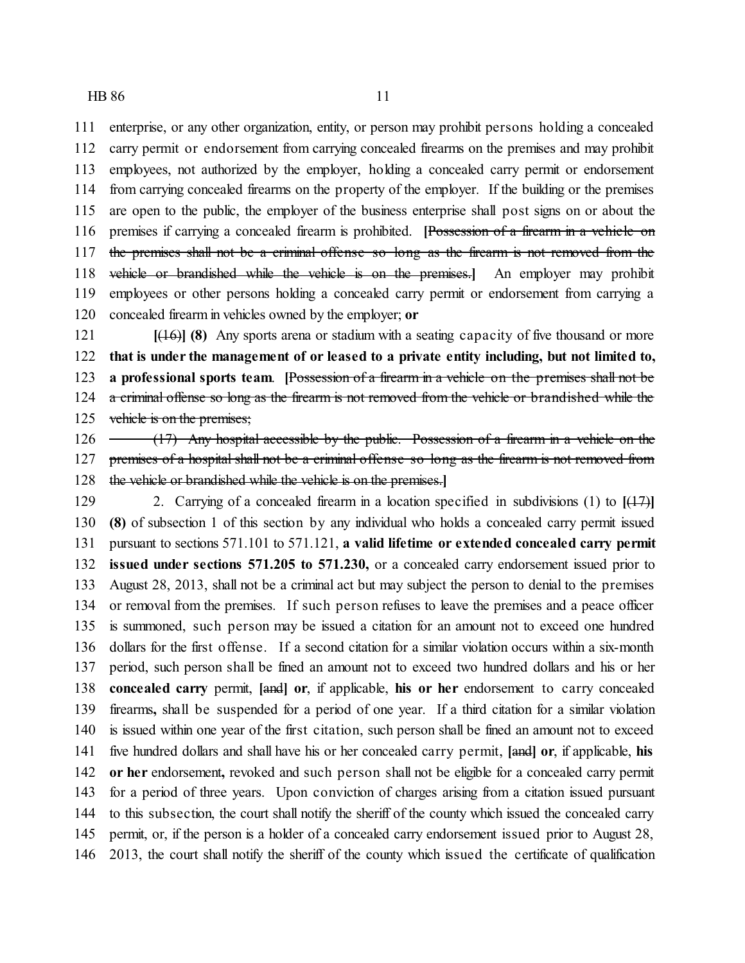enterprise, or any other organization, entity, or person may prohibit persons holding a concealed carry permit or endorsement from carrying concealed firearms on the premises and may prohibit employees, not authorized by the employer, holding a concealed carry permit or endorsement from carrying concealed firearms on the property of the employer. If the building or the premises are open to the public, the employer of the business enterprise shall post signs on or about the premises if carrying a concealed firearm is prohibited. **[**Possession of a firearm in a vehicle on 117 the premises shall not be a criminal offense so long as the firearm is not removed from the vehicle or brandished while the vehicle is on the premises.**]** An employer may prohibit employees or other persons holding a concealed carry permit or endorsement from carrying a concealed firearm in vehicles owned by the employer; **or**

 **[**(16)**] (8)** Any sports arena or stadium with a seating capacity of five thousand or more **that is under the management of or leased to a private entity including, but not limited to, a professional sports team**. **[**Possession of a firearm in a vehicle on the premises shall not be 124 a criminal offense so long as the firearm is not removed from the vehicle or brandished while the 125 vehicle is on the premises;

 $126 \rightarrow (17)$  Any hospital accessible by the public. Possession of a firearm in a vehicle on the 127 premises of a hospital shall not be a criminal offense so long as the firearm is not removed from the vehicle or brandished while the vehicle is on the premises.**]**

 2. Carrying of a concealed firearm in a location specified in subdivisions (1) to **[**(17)**] (8)** of subsection 1 of this section by any individual who holds a concealed carry permit issued pursuant to sections 571.101 to 571.121, **a valid lifetime or extended concealed carry permit issued under sections 571.205 to 571.230,** or a concealed carry endorsement issued prior to August 28, 2013, shall not be a criminal act but may subject the person to denial to the premises or removal from the premises. If such person refuses to leave the premises and a peace officer is summoned, such person may be issued a citation for an amount not to exceed one hundred dollars for the first offense. If a second citation for a similar violation occurs within a six-month period, such person shall be fined an amount not to exceed two hundred dollars and his or her **concealed carry** permit, **[**and**] or**, if applicable, **his or her** endorsement to carry concealed firearms**,** shall be suspended for a period of one year. If a third citation for a similar violation is issued within one year of the first citation, such person shall be fined an amount not to exceed five hundred dollars and shall have his or her concealed carry permit, **[**and**] or**, if applicable, **his or her** endorsement**,** revoked and such person shall not be eligible for a concealed carry permit for a period of three years. Upon conviction of charges arising from a citation issued pursuant to this subsection, the court shall notify the sheriff of the county which issued the concealed carry permit, or, if the person is a holder of a concealed carry endorsement issued prior to August 28, 2013, the court shall notify the sheriff of the county which issued the certificate of qualification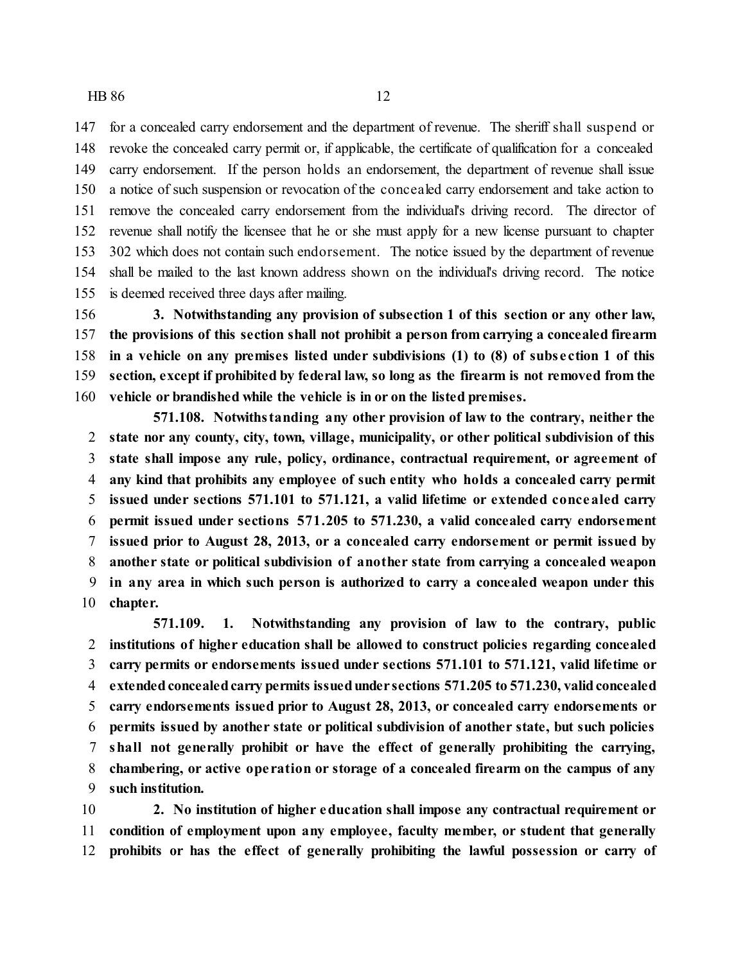for a concealed carry endorsement and the department of revenue. The sheriff shall suspend or revoke the concealed carry permit or, if applicable, the certificate of qualification for a concealed carry endorsement. If the person holds an endorsement, the department of revenue shall issue a notice of such suspension or revocation of the concealed carry endorsement and take action to remove the concealed carry endorsement from the individual's driving record. The director of revenue shall notify the licensee that he or she must apply for a new license pursuant to chapter 302 which does not contain such endorsement. The notice issued by the department of revenue shall be mailed to the last known address shown on the individual's driving record. The notice is deemed received three days after mailing.

 **3. Notwithstanding any provision of subsection 1 of this section or any other law, the provisions of this section shall not prohibit a person from carrying a concealed firearm in a vehicle on any premises listed under subdivisions (1) to (8) of subs e ction 1 of this section, except if prohibited by federal law, so long as the firearm is not removed from the vehicle or brandished while the vehicle is in or on the listed premises.**

**571.108. Notwithstanding any other provision of law to the contrary, neither the state nor any county, city, town, village, municipality, or other political subdivision of this state shall impose any rule, policy, ordinance, contractual requirement, or agreement of any kind that prohibits any employee of such entity who holds a concealed carry permit issued under sections 571.101 to 571.121, a valid lifetime or extended concealed carry permit issued under sections 571.205 to 571.230, a valid concealed carry endorsement issued prior to August 28, 2013, or a concealed carry endorsement or permit issued by another state or political subdivision of another state from carrying a concealed weapon in any area in which such person is authorized to carry a concealed weapon under this chapter.**

**571.109. 1. Notwithstanding any provision of law to the contrary, public institutions of higher education shall be allowed to construct policies regarding concealed carry permits or endorsements issued under sections 571.101 to 571.121, valid lifetime or extendedconcealedcarry permits issuedunder sections 571.205 to 571.230, validconcealed carry endorsements issued prior to August 28, 2013, or concealed carry endorsements or permits issued by another state or political subdivision of another state, but such policies shall not generally prohibit or have the effect of generally prohibiting the carrying, chambering, or active ope ration or storage of a concealed firearm on the campus of any such institution.**

 **2. No institution of higher education shall impose any contractual requirement or condition of employment upon any employee, faculty member, or student that generally prohibits or has the effect of generally prohibiting the lawful possession or carry of**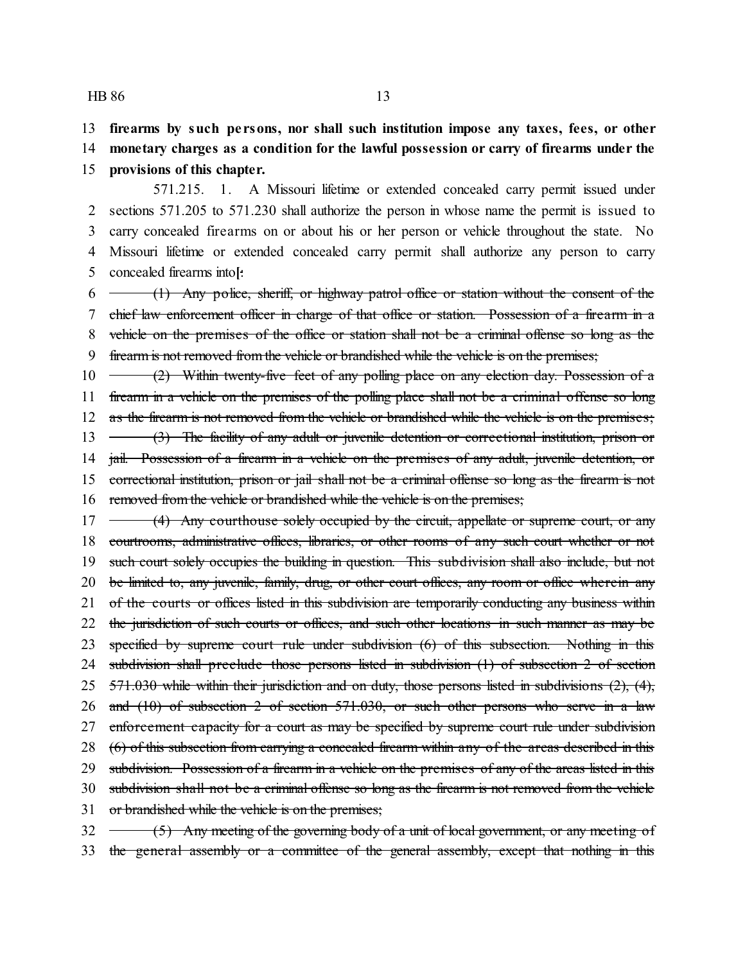13 **firearms by such pe rsons, nor shall such institution impose any taxes, fees, or other**

14 **monetary charges as a condition for the lawful possession or carry of firearms under the** 15 **provisions of this chapter.**

571.215. 1. A Missouri lifetime or extended concealed carry permit issued under sections 571.205 to 571.230 shall authorize the person in whose name the permit is issued to carry concealed firearms on or about his or her person or vehicle throughout the state. No Missouri lifetime or extended concealed carry permit shall authorize any person to carry concealed firearms into**[**:

 $6 \rightarrow$  (1) Any police, sheriff, or highway patrol office or station without the consent of the chief law enforcement officer in charge of that office or station. Possession of a firearm in a vehicle on the premises of the office or station shall not be a criminal offense so long as the firearm is not removed from the vehicle or brandished while the vehicle is on the premises;

10 (2) Within twenty-five feet of any polling place on any election day. Possession of a 11 firearm in a vehicle on the premises of the polling place shall not be a criminal offense so long 12 as the firearm is not removed from the vehicle or brandished while the vehicle is on the premises; 13 (3) The facility of any adult or juvenile detention or correctional institution, prison or 14 jail. Possession of a firearm in a vehicle on the premises of any adult, juvenile detention, or 15 correctional institution, prison or jail shall not be a criminal offense so long as the firearm is not 16 removed from the vehicle or brandished while the vehicle is on the premises;

17 (4) Any courthouse solely occupied by the circuit, appellate or supreme court, or any 18 courtrooms, administrative offices, libraries, or other rooms of any such court whether or not 19 such court solely occupies the building in question. This subdivision shall also include, but not 20 be limited to, any juvenile, family, drug, or other court offices, any room or office wherein any 21 of the courts or offices listed in this subdivision are temporarily conducting any business within 22 the jurisdiction of such courts or offices, and such other locations in such manner as may be 23 specified by supreme court rule under subdivision (6) of this subsection. Nothing in this 24 subdivision shall preclude those persons listed in subdivision (1) of subsection 2 of section 25 571.030 while within their jurisdiction and on duty, those persons listed in subdivisions (2), (4), 26 and (10) of subsection 2 of section 571.030, or such other persons who serve in a law 27 enforcement capacity for a court as may be specified by supreme court rule under subdivision 28 (6) of this subsection from carrying a concealed firearm within any of the areas described in this 29 subdivision. Possession of a firearm in a vehicle on the premises of any of the areas listed in this 30 subdivision shall not be a criminal offense so long as the firearm is not removed from the vehicle 31 or brandished while the vehicle is on the premises;  $32 \leftarrow (5)$  Any meeting of the governing body of a unit of local government, or any meeting of

33 the general assembly or a committee of the general assembly, except that nothing in this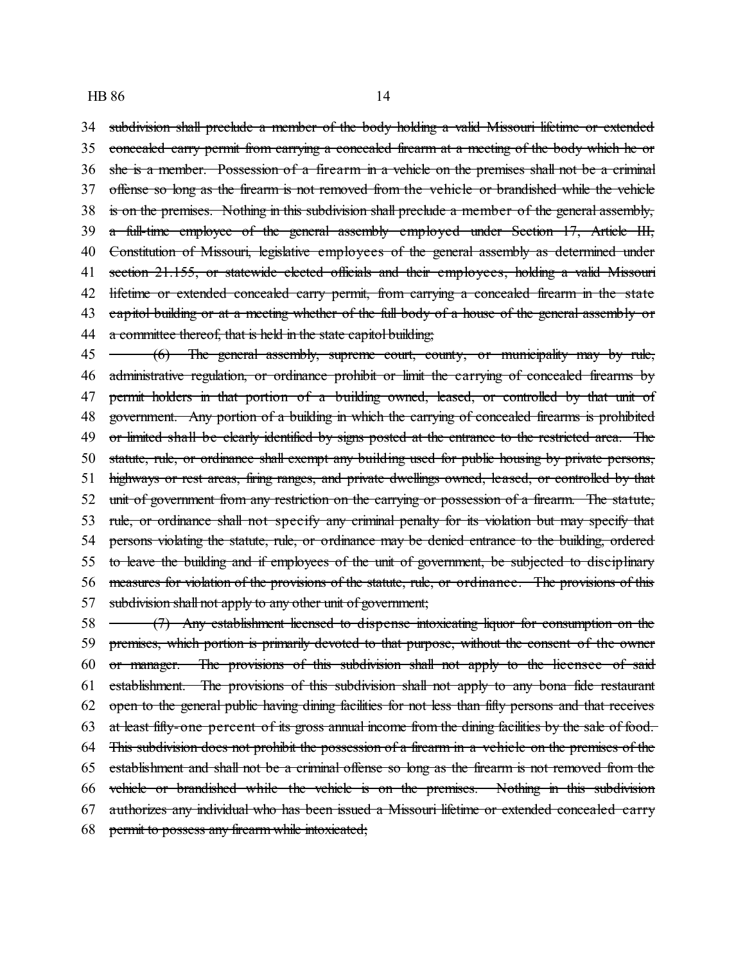subdivision shall preclude a member of the body holding a valid Missouri lifetime or extended concealed carry permit from carrying a concealed firearm at a meeting of the body which he or she is a member. Possession of a firearm in a vehicle on the premises shall not be a criminal offense so long as the firearm is not removed from the vehicle or brandished while the vehicle is on the premises. Nothing in this subdivision shall preclude a member of the general assembly, a full-time employee of the general assembly employed under Section 17, Article III, 40 Constitution of Missouri, legislative employees of the general assembly as determined under 41 section 21.155, or statewide elected officials and their employees, holding a valid Missouri 42 lifetime or extended concealed carry permit, from carrying a concealed firearm in the state 43 capitol building or at a meeting whether of the full body of a house of the general assembly or 44 a committee thereof, that is held in the state capitol building; 45 (6) The general assembly, supreme court, county, or municipality may by rule, 46 administrative regulation, or ordinance prohibit or limit the carrying of concealed firearms by 47 permit holders in that portion of a building owned, leased, or controlled by that unit of government. Any portion of a building in which the carrying of concealed firearms is prohibited

49 or limited shall be clearly identified by signs posted at the entrance to the restricted area. The statute, rule, or ordinance shall exempt any building used for public housing by private persons, highways or rest areas, firing ranges, and private dwellings owned, leased, or controlled by that unit of government from any restriction on the carrying or possession of a firearm. The statute, rule, or ordinance shall not specify any criminal penalty for its violation but may specify that 54 persons violating the statute, rule, or ordinance may be denied entrance to the building, ordered to leave the building and if employees of the unit of government, be subjected to disciplinary measures for violation of the provisions of the statute, rule, or ordinance. The provisions of this subdivision shall not apply to any other unit of government;

 (7) Any establishment licensed to dispense intoxicating liquor for consumption on the premises, which portion is primarily devoted to that purpose, without the consent of the owner or manager. The provisions of this subdivision shall not apply to the licensee of said establishment. The provisions of this subdivision shall not apply to any bona fide restaurant open to the general public having dining facilities for not less than fifty persons and that receives at least fifty-one percent of its gross annual income from the dining facilities by the sale of food. This subdivision does not prohibit the possession of a firearm in a vehicle on the premises of the establishment and shall not be a criminal offense so long as the firearm is not removed from the vehicle or brandished while the vehicle is on the premises. Nothing in this subdivision authorizes any individual who has been issued a Missouri lifetime or extended concealed carry permit to possess any firearm while intoxicated;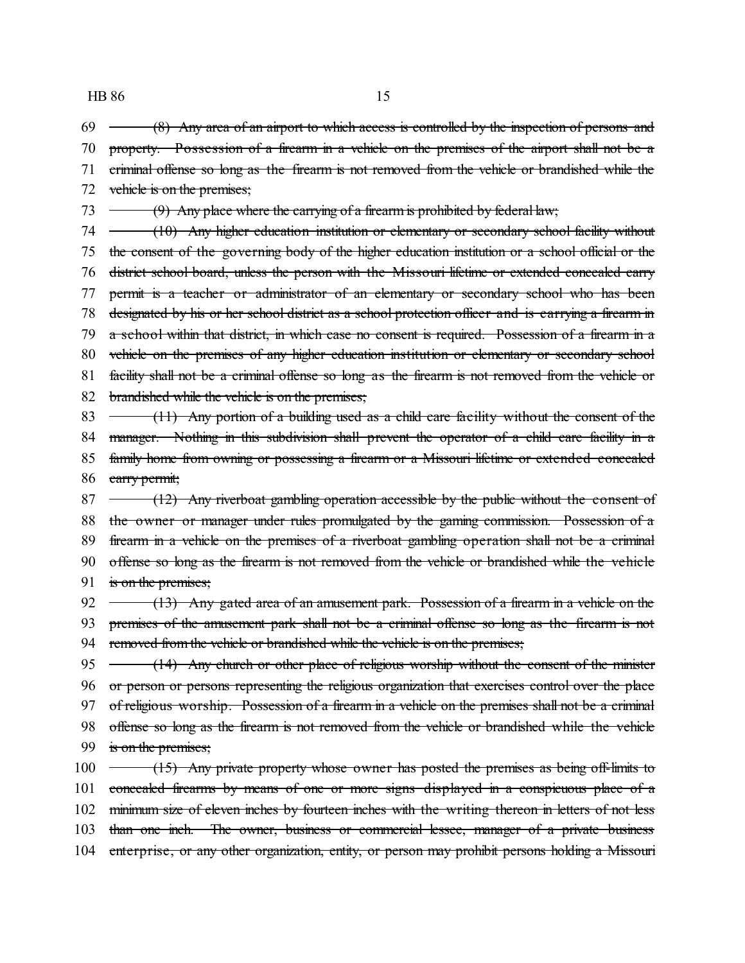$69 \leftarrow (8)$  Any area of an airport to which access is controlled by the inspection of persons and 70 property. Possession of a firearm in a vehicle on the premises of the airport shall not be a

71 criminal offense so long as the firearm is not removed from the vehicle or brandished while the 72 vehicle is on the premises; 73  $\rightarrow$  (9) Any place where the carrying of a firearm is prohibited by federal law; 74 (10) Any higher education institution or elementary or secondary school facility without 75 the consent of the governing body of the higher education institution or a school official or the 76 district school board, unless the person with the Missouri lifetime or extended concealed carry 77 permit is a teacher or administrator of an elementary or secondary school who has been 78 designated by his or her school district as a school protection officer and is carrying a firearm in 79 a school within that district, in which case no consent is required. Possession of a firearm in a 80 vehicle on the premises of any higher education institution or elementary or secondary school 81 facility shall not be a criminal offense so long as the firearm is not removed from the vehicle or 82 brandished while the vehicle is on the premises; 83  $\rightarrow$  (11) Any portion of a building used as a child care facility without the consent of the 84 manager. Nothing in this subdivision shall prevent the operator of a child care facility in a 85 family home from owning or possessing a firearm or a Missouri lifetime or extended concealed 86 earry permit;  $87 \leftarrow$  (12) Any riverboat gambling operation accessible by the public without the consent of 88 the owner or manager under rules promulgated by the gaming commission. Possession of a 89 firearm in a vehicle on the premises of a riverboat gambling operation shall not be a criminal 90 offense so long as the firearm is not removed from the vehicle or brandished while the vehicle 91 is on the premises; 92  $\rightarrow$  (13) Any gated area of an amusement park. Possession of a firearm in a vehicle on the 93 premises of the amusement park shall not be a criminal offense so long as the firearm is not 94 removed from the vehicle or brandished while the vehicle is on the premises; 95 (14) Any church or other place of religious worship without the consent of the minister

96 or person or persons representing the religious organization that exercises control over the place 97 of religious worship. Possession of a firearm in a vehicle on the premises shall not be a criminal 98 offense so long as the firearm is not removed from the vehicle or brandished while the vehicle 99 is on the premises; 100 (15) Any private property whose owner has posted the premises as being off-limits to

101 concealed firearms by means of one or more signs displayed in a conspicuous place of a 102 minimum size of eleven inches by fourteen inches with the writing thereon in letters of not less 103 than one inch. The owner, business or commercial lessee, manager of a private business 104 enterprise, or any other organization, entity, or person may prohibit persons holding a Missouri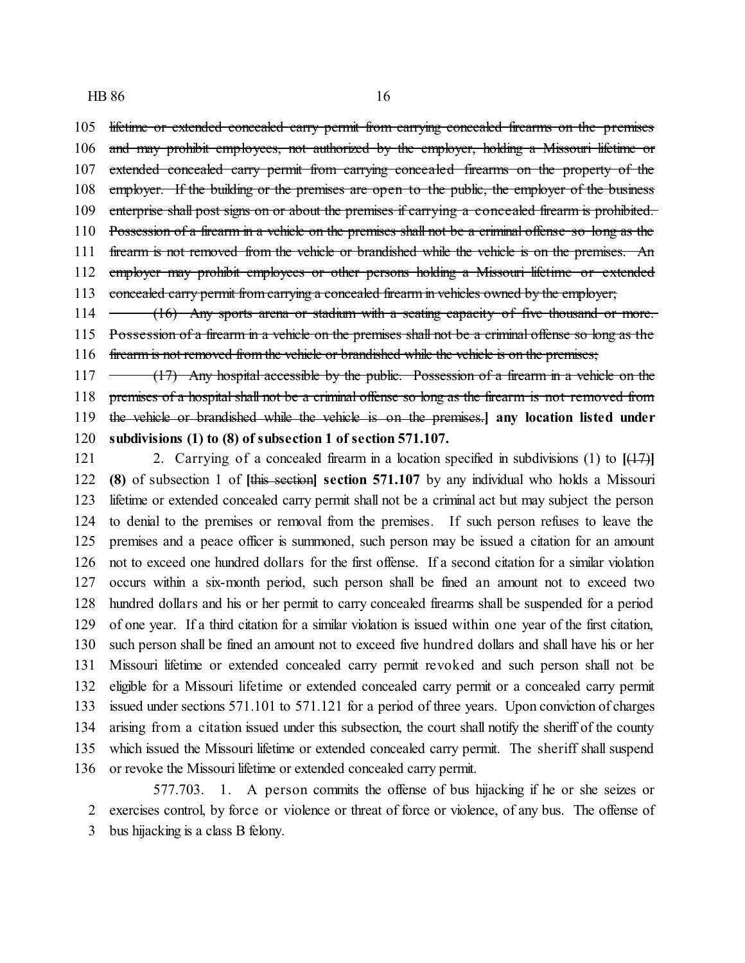lifetime or extended concealed carry permit from carrying concealed firearms on the premises 106 and may prohibit employees, not authorized by the employer, holding a Missouri lifetime or extended concealed carry permit from carrying concealed firearms on the property of the 108 employer. If the building or the premises are open to the public, the employer of the business 109 enterprise shall post signs on or about the premises if carrying a concealed firearm is prohibited. Possession of a firearm in a vehicle on the premises shall not be a criminal offense so long as the 111 firearm is not removed from the vehicle or brandished while the vehicle is on the premises. An 112 employer may prohibit employees or other persons holding a Missouri lifetime or extended 113 concealed carry permit from carrying a concealed firearm in vehicles owned by the employer; 114 (16) Any sports arena or stadium with a seating capacity of five thousand or more.

 Possession of a firearm in a vehicle on the premises shall not be a criminal offense so long as the 116 firearm is not removed from the vehicle or brandished while the vehicle is on the premises;

 $117 \rightarrow (17)$  Any hospital accessible by the public. Possession of a firearm in a vehicle on the premises of a hospital shall not be a criminal offense so long as the firearm is not removed from the vehicle or brandished while the vehicle is on the premises.**] any location listed under subdivisions (1) to (8) of subsection 1 of section 571.107.**

 2. Carrying of a concealed firearm in a location specified in subdivisions (1) to **[**(17)**] (8)** of subsection 1 of **[**this section**] section 571.107** by any individual who holds a Missouri lifetime or extended concealed carry permit shall not be a criminal act but may subject the person to denial to the premises or removal from the premises. If such person refuses to leave the premises and a peace officer is summoned, such person may be issued a citation for an amount not to exceed one hundred dollars for the first offense. If a second citation for a similar violation occurs within a six-month period, such person shall be fined an amount not to exceed two hundred dollars and his or her permit to carry concealed firearms shall be suspended for a period of one year. If a third citation for a similar violation is issued within one year of the first citation, such person shall be fined an amount not to exceed five hundred dollars and shall have his or her Missouri lifetime or extended concealed carry permit revoked and such person shall not be eligible for a Missouri lifetime or extended concealed carry permit or a concealed carry permit issued under sections 571.101 to 571.121 for a period of three years. Upon conviction of charges arising from a citation issued under this subsection, the court shall notify the sheriff of the county which issued the Missouri lifetime or extended concealed carry permit. The sheriff shall suspend or revoke the Missouri lifetime or extended concealed carry permit.

577.703. 1. A person commits the offense of bus hijacking if he or she seizes or exercises control, by force or violence or threat of force or violence, of any bus. The offense of bus hijacking is a class B felony.